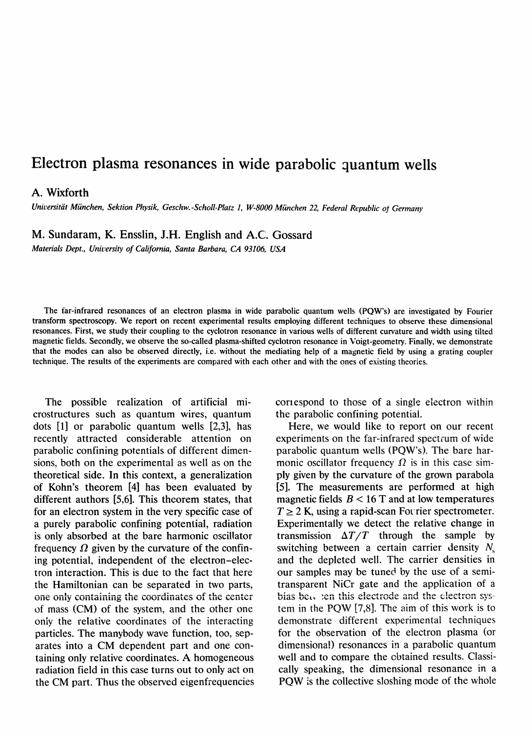## **Electron plasma resonances in wide parabolic quantum wells**

## A. Wixforth

*Universitiit Miinchen, Sektion Physik, Geschw.-Scholl-Platz 1, W-8000Miinchen 22, FederalRepublic o) Germany*

M. Sundaram, K. Ensslin, J.H. English and A.C. Gossard

*Materials Dept., University of California, Santa Barbara, CA 93106, USA*

The far-infrared resonances of an electron plasma in wide parabolic quantum wells (PQW's) are investigated by Fourier transform spectroscopy. We report on recent experimental results employing different techniques to observe these dimensional resonances. First, we study their coupling to the cyclotron resonance in various wells of different curvature and width using tilted magnetic fields. Secondly, we observe the so-called plasma-shifted cyclotron resonance in Voigt-geometry. Finally, we demonstrate that the modes can also be observed directly, i.e. without the mediating help of a magnetic field by using a grating coupler technique. The results of the experiments are compared with each other and with the ones of existing theories.

The possible realization of artificial microstructures such as quantum wires, quantum dots [1] or parabolic quantum wells [2,3], has recently attracted considerable attention on parabolic confining potentials of different dimensions, both on the experimental as well as on the theoretical side. In this context, a generalization of Kohn's theorem [4] has been evaluated by different authors [5,6]. This theorem states, that for an electron system in the very specific case of a purely parabolic confining potential, radiation is only absorbed at the bare harmonic oscillator frequency  $\Omega$  given by the curvature of the confining potential, independent of the electron-electron interaction. This is due to the fact that here the Hamiltonian can be separated in two parts, one only containing the coordinates of the center of mass (CM) of the system, and the other one only the relative coordinates of the interacting particles. The manybody wave function, too, separates into a CM dependent part and one containing only relative coordinates. A homogeneous radiation field in this case turns out to only act on the CM part. Thus the observed eigenfrequencies correspond to those of a single electron within the parabolic confining potential.

Here, we would like to report on our recent experiments on the far-infrared spectrum of wide parabolic quantum wells (PQW's). The bare harmonic oscillator frequency  $\Omega$  is in this case simply given by the curvature of the grown parabola [5]. The measurements are performed at high magnetic fields  $B < 16$  T and at low temperatures  $T \geq 2$  K, using a rapid-scan Fourier spectrometer. Experimentally we detect the relative change in transmission  $\Delta T/T$  through the sample by switching between a certain carrier density  $N_c$ and the depleted well. The carrier densities in our samples may be tuned by the use of a semitransparent NiCr gate and the application of a bias bety ben this electrode and the electron system in the PQW [7,8]. The aim of this work is to demonstrate different experimental techniques for the observation of the electron plasma (or dimensional) resonances in a parabolic quantum well and to compare the obtained results. Classically speaking, the dimensional resonance in a PQW is the collective sloshing mode of the whole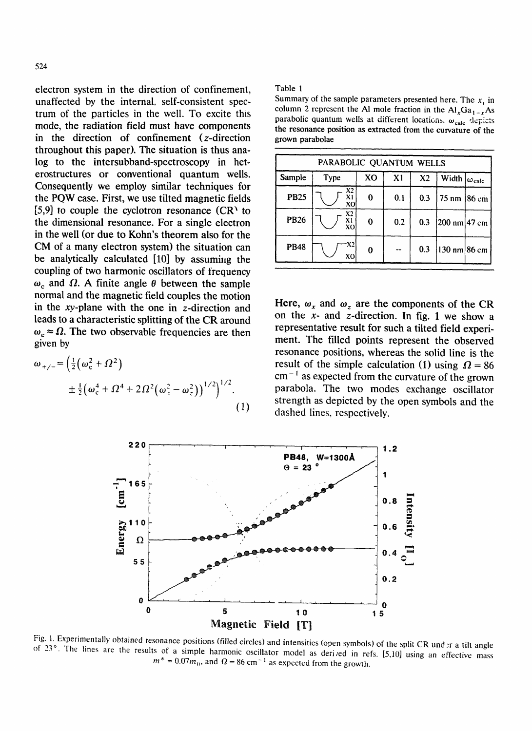electron system in the direction of confinement, unaffected by the internal, self-consistent spectrum of the particles in the well. To excite this mode, the radiation field must have components in the direction of confinement (z-direction throughout this paper). The situation is thus analog to the intersubband-spectroscopy in heterostructures or conventional quantum wells. Consequently we employ similar techniques for the PQW case. First, we use tilted magnetic fields [5,9] to couple the cyclotron resonance  $(CR<sup>1</sup>$  to the dimensional resonance. For a single electron in the well (or due to Kohn's theorem also for the CM of a many electron system) the situation can be analytically calculated [10] by assuming the coupling of two harmonic oscillators of frequency  $\omega_c$  and  $\Omega$ . A finite angle  $\theta$  between the sample normal and the magnetic field couples the motion in the xy-plane with the one in z-direction and leads to a characteristic splitting of the CR around  $\omega_c \approx \Omega$ . The two observable frequencies are then given by

$$
\omega_{+/-} = \left(\frac{1}{2}(\omega_c^2 + \Omega^2) + \frac{1}{2}(\omega_c^4 + \Omega^4 + 2\Omega^2(\omega_z^2 - \omega_z^2))\right)^{1/2}\right)^{1/2}.
$$
\n(1)

## Table 1

Summary of the sample parameters presented here. The  $x_i$  in column 2 represent the Al mole fraction in the  $\text{Al}_x\text{Ga}_{1-x}\text{As}$ parabolic quantum wells at different locations.  $\omega_{\rm calc}$  depicts **t h e** resonance position as extracted from the curvature of **the** grown parabolae

| PARABOLIC QUANTUM WELLS |                            |          |     |                |                                 |  |
|-------------------------|----------------------------|----------|-----|----------------|---------------------------------|--|
| Sample                  | Type                       | XO       | X1  | X <sub>2</sub> | Width $ \omega_{calc} $         |  |
| <b>PB25</b>             | X2<br>X <sub>1</sub><br>XO | 0        | 0.1 | 0.3            | 75 nm   86 cm                   |  |
| <b>PB26</b>             | X2<br>X1<br>XO             | $\bf{0}$ | 0.2 | 0.3            | $[200 \text{ nm}]$ 47 cm        |  |
| <b>PB48</b>             | X2<br>XO                   | 0        |     | 0.3            | $ 130 \text{ nm} 86 \text{ cm}$ |  |

Here,  $\omega_x$  and  $\omega_z$  are the components of the CR on the  $x$ - and  $z$ -direction. In fig. 1 we show a representative result for such a tilted field experiment. The filled points represent the observed resonance positions, whereas the solid line is the result of the simple calculation (1) using  $\Omega = 86$  $cm<sup>-1</sup>$  as expected from the curvature of the grown parabola. The two modes exchange oscillator strength as depicted by the open symbols and the dashed lines, respectively.



Fig. 1. Experimentally obtained resonance positions (filled circles) and intensities (open symbols) of the split CR und :r a tilt angle of  $23^\circ$ . The lines are the results of a simple harmonic oscillator model as derived in refs. [5,10] using an effective mass  $m^* = 0.07m_0$ , and  $\Omega = 86$  cm<sup>-1</sup> as expected from the growth.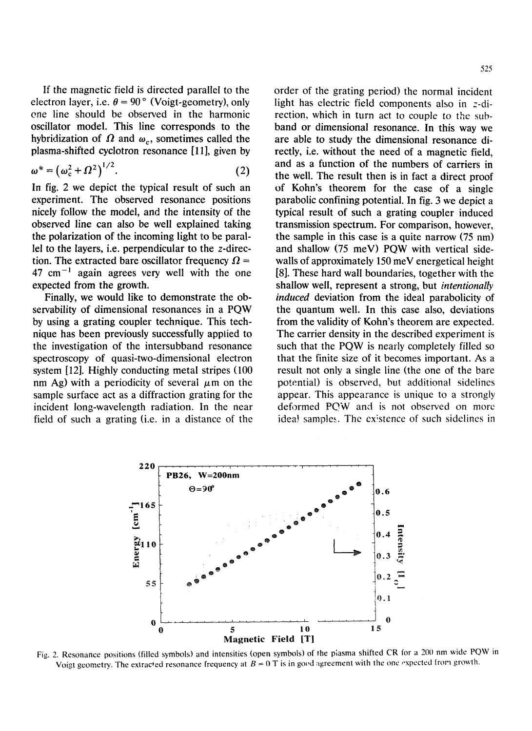If the magnetic field is directed parallel to the electron layer, i.e.  $\theta = 90^{\circ}$  (Voigt-geometry), only ene line should be observed in the harmonic oscillator model. This line corresponds to the hybridization of  $\Omega$  and  $\omega_c$ , sometimes called the plasma-shifted cyclotron resonance [11], given by

$$
\omega^* = \left(\omega_c^2 + \Omega^2\right)^{1/2}.\tag{2}
$$

In fig. 2 we depict the typical result of such an experiment. The observed resonance positions nicely follow the model, and the intensity of the observed line can also be well explained taking the polarization of the incoming light to be parallel to the layers, i.e. perpendicular to the z-direction. The extracted bare oscillator frequency  $\Omega =$  $47 \text{ cm}^{-1}$  again agrees very well with the one expected from the growth.

Finally, we would like to demonstrate the observability of dimensional resonances in a PQW by using a grating coupler technique. This technique has been previously successfully applied to the investigation of the intersubband resonance spectroscopy of quasi-two-dimensional electron system [12]. Highly conducting metal stripes (100 nm Ag) with a periodicity of several  $\mu$ m on the sample surface act as a diffraction grating for the incident long-wavelength radiation. In the near field of such a grating (i.e. in a distance of the order of the grating period) the normal incident light has electric field components also in z-direction, which in turn act to couple to the subband or dimensional resonance. In this way we are able to study the dimensional resonance directly, i.e. without the need of a magnetic field, and as a function of the numbers of carriers in the well. The result then is in fact a direct proof of Kohn's theorem for the case of a single parabolic confining potential. In fig. 3 we depict a typical result of such a grating coupler induced transmission spectrum. For comparison, however, the sample in this case is a quite narrow (75 nm) and shallow (75 meV) PQW with vertical sidewalls of approximately 150 meV energetical height [8]. These hard wall boundaries, together with the shallow well, represent a strong, but *intentionally induced* deviation from the ideal parabolicity of the quantum well. In this case also, deviations from the validity of Kohn's theorem are expected. The carrier density in the described experiment is such that the PQW is nearly completely filled so that the finite size of it becomes important. As a result not only a single line (the one of the bare potential) is observed, but additional sidelines appear. This appearance is unique to a strongly deformed PQW and is not observed on more idea! samples. The existence of such sidelines in



Fig. 2. Resonance positions (filled symbols) and intensities (open symbols) of the plasma shifted CR for a 200 nm wide PQW in Voigt geometry. The extracted resonance frequency at  $B = 0$  T is in good agreement with the one expected from growth.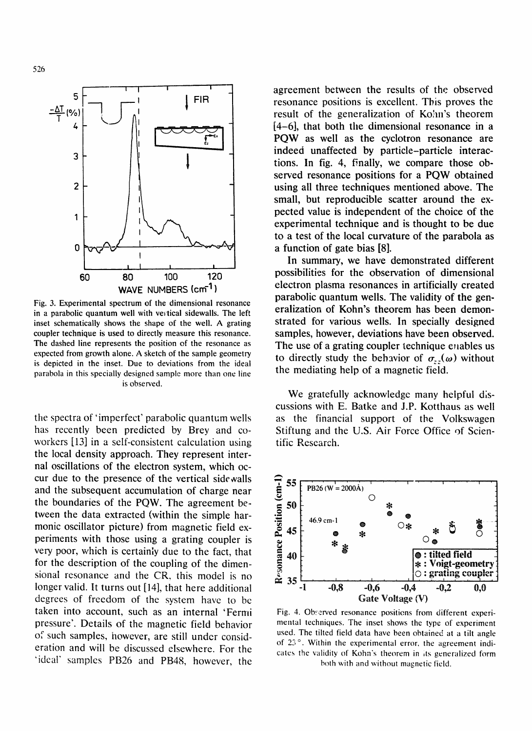

Fig. 3. Experimental spectrum of the dimensional resonance in a parabolic quantum well with vertical sidewalls. The left inset schematically shows the shape of the well. A grating coupler technique is used to directlymeasure this resonance. The dashed line represents the position of the resonance as expected from growth alone. A sketch of the sample geometry is depicted in the inset. Due to deviations from the ideal parabola in this specially designed sample more than one line is observed.

the spectra of'imperfect' parabolic quantum wells has recently been predicted by Brey and coworkers [13] in a self-consistent calculation using the local density approach. They represent internal oscillations of the electron system, which occur due to the presence of the vertical side walls and the subsequent accumulation of charge near the boundaries of the PQW. The agreement between the data extracted (within the simple harmonic oscillator picture) from magnetic field experiments with those using a grating coupler is very poor, which is certainly due to the fact, that for the description of the coupling of the dimen sional resonance and the CR, this model is no longer valid. It turns out [14], that here additional degrees of freedom of the system have to bc taken into account, such as an internal 'Fermi pressure'. Details of the magnetic field behavior of such samples, however, are still under consideration and will be discussed elsewhere. For the 'ideal' samples PB26 and PB48, however, the agreement between the results of the observed resonance positions is excellent. Tbis proves the result of the generalization of Kohn's theorem [4-6], that both the dimensional resonance in a PQW as well as the cyclotron resonance are indeed unaffected by particle-particle interactions. In fig. 4, finally, we compare those observed resonance positions for a PQW obtained using all three techniques mentioned above. The small, but reproducible scatter around the expected value is independent of the choice of the experimental technique and is thought to be due to a test of the local curvature of the parabola as a function of gate bias [8].

In summary, we have demonstrated different possibilities for the observation of dimensional electron plasma resonances in artificially created parabolic quantum wells. The validity of the generalization of Kohn's theorem has been demonstrated for various wells. In specially designed samples, however, deviations have been observed. The use of a grating coupler technique enables us to directly study the behavior of  $\sigma_{xx}(\omega)$  without the mediating help of a magnetic field.

We gratefully acknowledge many helpful discussions with E. Batke and J.P. Kotthaus as well as the financial support of the Volkswagen Stiftung and the U.S. Air Force Office of Scientific Research.



Fig. 4. Observed resonance positions from different experimental techniques. The inset shows the type of experiment used. The tilted field data have been obtained at a tilt angle of 23 °. Within the experimental error, the agreement indicates the validity of Kohn's theorem in its generalized form both with and without magnetic field.